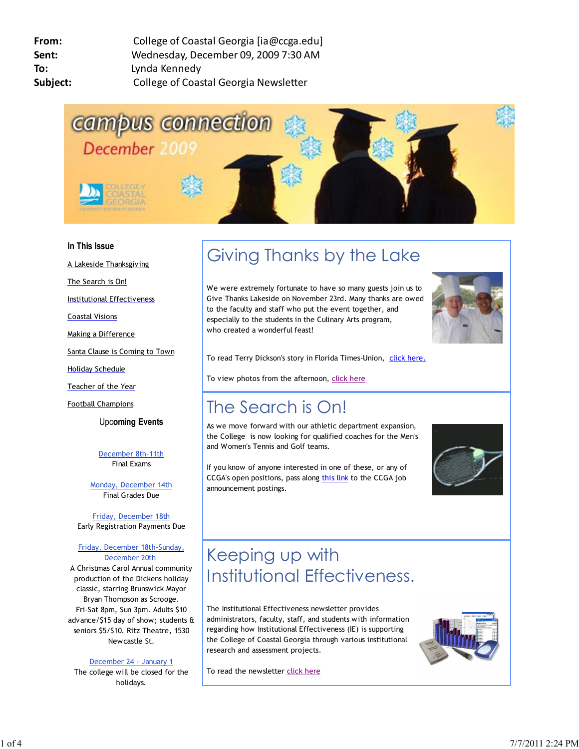

### **In This Issue**

A Lakeside Thanksgiving

The Search is On!

Institutional Effectiveness

Coastal Visions

Making a Difference

Santa Clause is Coming to Town

Holiday Schedule

Teacher of the Year

Football Champions

Upc**oming Events**

December 8th-11th Final Exams

Monday, December 14th Final Grades Due

Friday, December 18th Early Registration Payments Due

#### Friday, December 18th-Sunday, December 20th

A Christmas Carol Annual community production of the Dickens holiday classic, starring Brunswick Mayor Bryan Thompson as Scrooge. Fri-Sat 8pm, Sun 3pm. Adults \$10 advance/\$15 day of show; students & seniors \$5/\$10. Ritz Theatre, 1530 Newcastle St.

December 24 - January 1

The college will be closed for the holidays.

# Giving Thanks by the Lake

We were extremely fortunate to have so many guests join us to Give Thanks Lakeside on November 23rd. Many thanks are owed to the faculty and staff who put the event together, and especially to the students in the Culinary Arts program, who created a wonderful feast!



To read Terry Dickson's story in Florida Times-Union, click here.

To view photos from the afternoon, click here

### The Search is On!

As we move forward with our athletic department expansion, the College is now looking for qualified coaches for the Men's and Women's Tennis and Golf teams.

If you know of anyone interested in one of these, or any of CCGA's open positions, pass along this link to the CCGA job announcement postings.



## Keeping up with Institutional Effectiveness.

The Institutional Effectiveness newsletter provides administrators, faculty, staff, and students with information regarding how Institutional Effectiveness (IE) is supporting the College of Coastal Georgia through various institutional research and assessment projects.

To read the newsletter click here

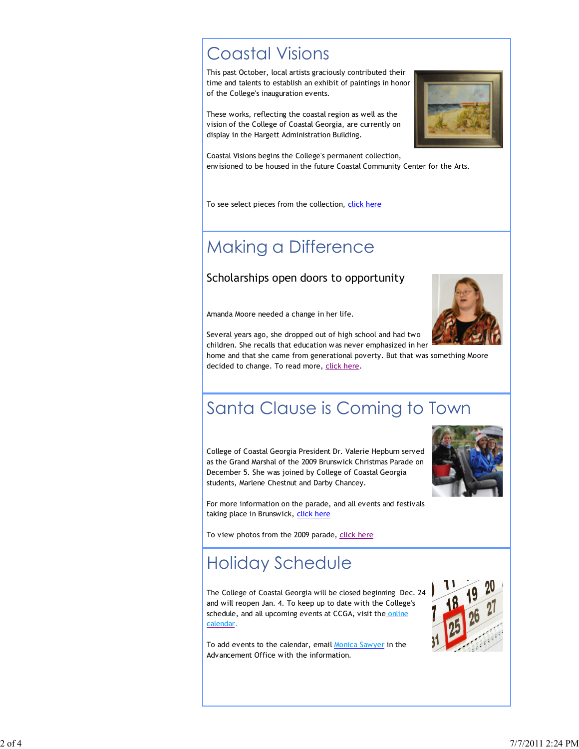### Coastal Visions

This past October, local artists graciously contributed their time and talents to establish an exhibit of paintings in honor of the College's inauguration events.

These works, reflecting the coastal region as well as the vision of the College of Coastal Georgia, are currently on display in the Hargett Administration Building.



Coastal Visions begins the College's permanent collection, envisioned to be housed in the future Coastal Community Center for the Arts.

To see select pieces from the collection, click here

### Making a Difference

### Scholarships open doors to opportunity

Amanda Moore needed a change in her life.



Several years ago, she dropped out of high school and had two children. She recalls that education was never emphasized in her

home and that she came from generational poverty. But that was something Moore decided to change. To read more, click here.

## Santa Clause is Coming to Town

College of Coastal Georgia President Dr. Valerie Hepburn served as the Grand Marshal of the 2009 Brunswick Christmas Parade on December 5. She was joined by College of Coastal Georgia students, Marlene Chestnut and Darby Chancey.



For more information on the parade, and all events and festivals taking place in Brunswick, click here

To view photos from the 2009 parade, click here

### Holiday Schedule

The College of Coastal Georgia will be closed beginning Dec. 24 and will reopen Jan. 4. To keep up to date with the College's schedule, and all upcoming events at CCGA, visit the online calendar.

To add events to the calendar, email Monica Sawyer in the Advancement Office with the information.

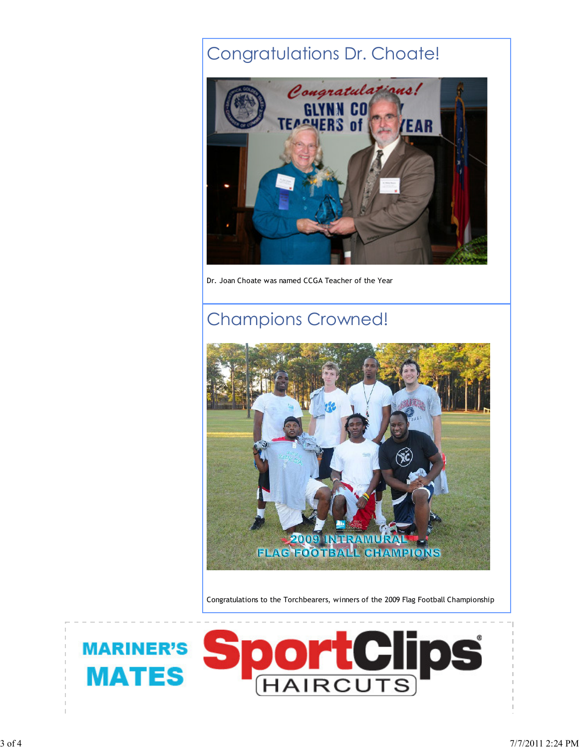### Congratulations Dr. Choate!



Dr. Joan Choate was named CCGA Teacher of the Year

### Champions Crowned!



Congratulations to the Torchbearers, winners of the 2009 Flag Football Championship